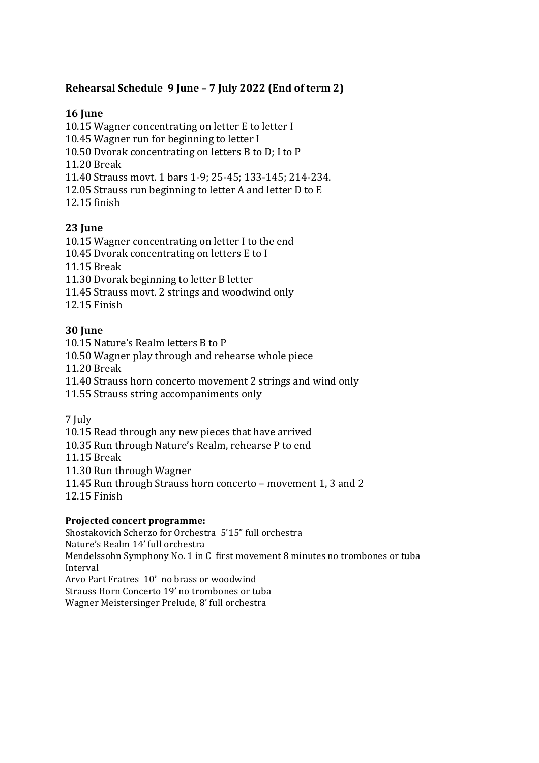# Rehearsal Schedule 9 June - 7 July 2022 (End of term 2)

#### **16 June**

10.15 Wagner concentrating on letter E to letter I

10.45 Wagner run for beginning to letter I

10.50 Dvorak concentrating on letters B to D; I to P

11.20 Break

11.40 Strauss movt. 1 bars 1-9; 25-45; 133-145; 214-234.

12.05 Strauss run beginning to letter A and letter D to E

12.15 finish

## **23 June**

10.15 Wagner concentrating on letter I to the end

10.45 Dvorak concentrating on letters E to I

11.15 Break

11.30 Dvorak beginning to letter B letter

11.45 Strauss movt. 2 strings and woodwind only

12.15 Finish 

## **30 Iune**

10.15 Nature's Realm letters B to P 

10.50 Wagner play through and rehearse whole piece

11.20 Break

11.40 Strauss horn concerto movement 2 strings and wind only

11.55 Strauss string accompaniments only

7 July

10.15 Read through any new pieces that have arrived

10.35 Run through Nature's Realm, rehearse P to end

11.15 Break

11.30 Run through Wagner

11.45 Run through Strauss horn concerto – movement 1, 3 and 2

12.15 Finish

#### **Projected concert programme:**

Shostakovich Scherzo for Orchestra 5'15" full orchestra Nature's Realm 14' full orchestra Mendelssohn Symphony No. 1 in C first movement 8 minutes no trombones or tuba Interval Arvo Part Fratres 10' no brass or woodwind Strauss Horn Concerto 19' no trombones or tuba Wagner Meistersinger Prelude, 8' full orchestra